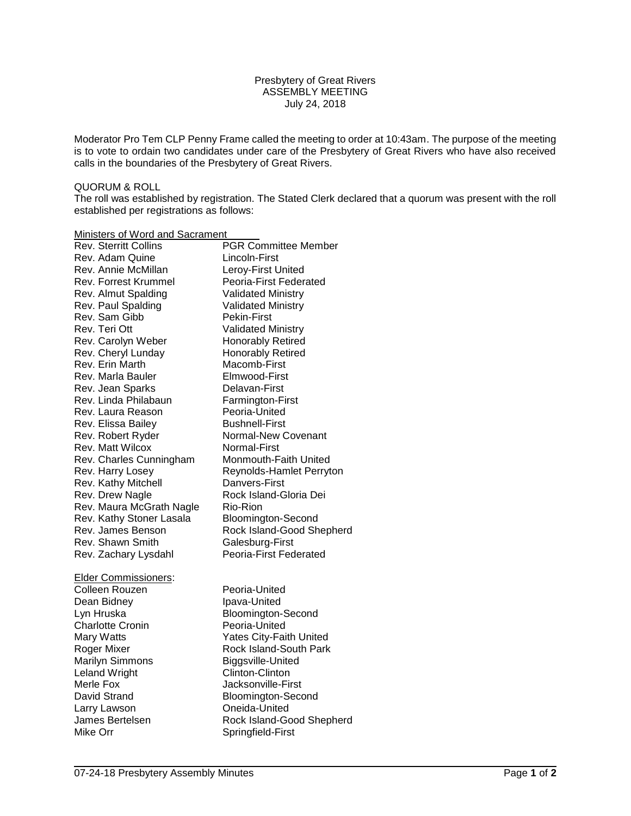## Presbytery of Great Rivers ASSEMBLY MEETING July 24, 2018

Moderator Pro Tem CLP Penny Frame called the meeting to order at 10:43am. The purpose of the meeting is to vote to ordain two candidates under care of the Presbytery of Great Rivers who have also received calls in the boundaries of the Presbytery of Great Rivers.

## QUORUM & ROLL

The roll was established by registration. The Stated Clerk declared that a quorum was present with the roll established per registrations as follows:

## Ministers of Word and Sacrament

| <b>Rev. Sterritt Collins</b> | <b>PGR Committee Member</b>    |
|------------------------------|--------------------------------|
| Rev. Adam Quine              | Lincoln-First                  |
| Rev. Annie McMillan          | Leroy-First United             |
| <b>Rev. Forrest Krummel</b>  | Peoria-First Federated         |
| Rev. Almut Spalding          | <b>Validated Ministry</b>      |
| Rev. Paul Spalding           | <b>Validated Ministry</b>      |
| Rev. Sam Gibb                | <b>Pekin-First</b>             |
| Rev. Teri Ott                | <b>Validated Ministry</b>      |
| Rev. Carolyn Weber           | <b>Honorably Retired</b>       |
| Rev. Cheryl Lunday           | <b>Honorably Retired</b>       |
| Rev. Erin Marth              | Macomb-First                   |
| Rev. Marla Bauler            | Elmwood-First                  |
| Rev. Jean Sparks             | Delavan-First                  |
| Rev. Linda Philabaun         | Farmington-First               |
| Rev. Laura Reason            | Peoria-United                  |
| Rev. Elissa Bailey           | <b>Bushnell-First</b>          |
| Rev. Robert Ryder            | <b>Normal-New Covenant</b>     |
| Rev. Matt Wilcox             | Normal-First                   |
| Rev. Charles Cunningham      | Monmouth-Faith United          |
| Rev. Harry Losey             | Reynolds-Hamlet Perryton       |
| Rev. Kathy Mitchell          | Danvers-First                  |
| Rev. Drew Nagle              | Rock Island-Gloria Dei         |
| Rev. Maura McGrath Nagle     | Rio-Rion                       |
| Rev. Kathy Stoner Lasala     | <b>Bloomington-Second</b>      |
| Rev. James Benson            | Rock Island-Good Shepherd      |
| Rev. Shawn Smith             | Galesburg-First                |
| Rev. Zachary Lysdahl         | Peoria-First Federated         |
| <b>Elder Commissioners:</b>  |                                |
| Colleen Rouzen               | Peoria-United                  |
| Dean Bidney                  | Ipava-United                   |
| Lyn Hruska                   | Bloomington-Second             |
| <b>Charlotte Cronin</b>      | Peoria-United                  |
| Mary Watts                   | <b>Yates City-Faith United</b> |
| Roger Mixer                  | Rock Island-South Park         |
| <b>Marilyn Simmons</b>       | Biggsville-United              |
| <b>Leland Wright</b>         | Clinton-Clinton                |
| Merle Fox                    | Jacksonville-First             |
| David Strand                 | <b>Bloomington-Second</b>      |
| Larry Lawson                 | Oneida-United                  |
| James Bertelsen              | Rock Island-Good Shepherd      |
| Mike Orr                     | Springfield-First              |